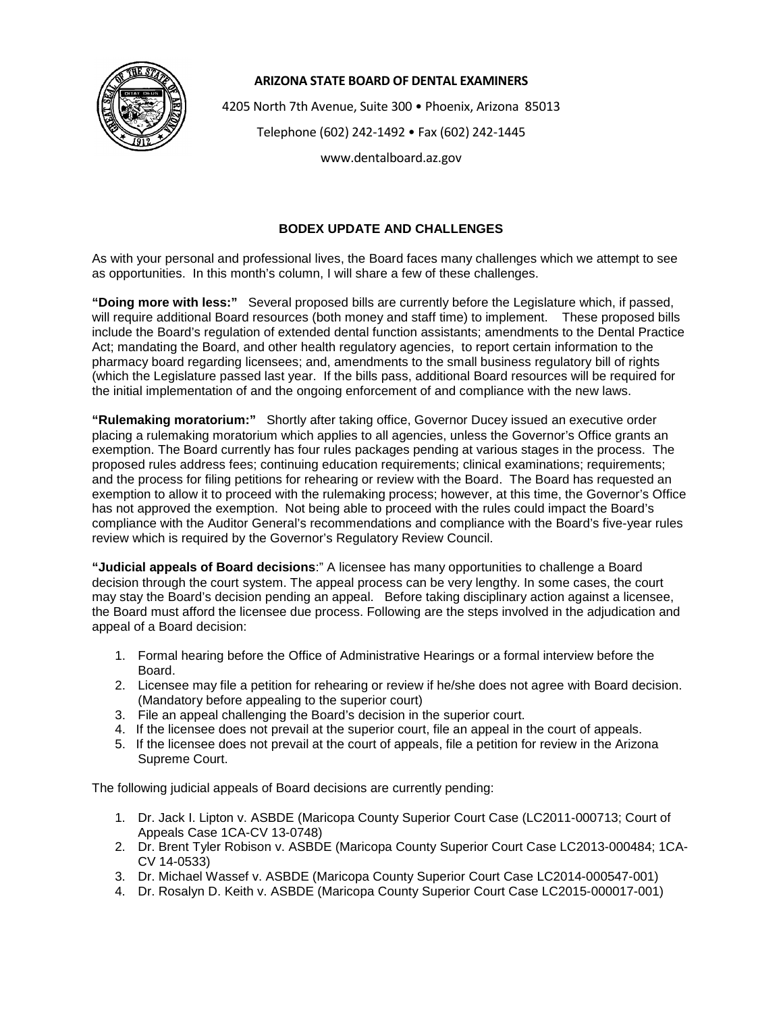

## **ARIZONA STATE BOARD OF DENTAL EXAMINERS**

4205 North 7th Avenue, Suite 300 • Phoenix, Arizona 85013

Telephone (602) 242-1492 • Fax (602) 242-1445

www.dentalboard.az.gov

## **BODEX UPDATE AND CHALLENGES**

As with your personal and professional lives, the Board faces many challenges which we attempt to see as opportunities. In this month's column, I will share a few of these challenges.

**"Doing more with less:"** Several proposed bills are currently before the Legislature which, if passed, will require additional Board resources (both money and staff time) to implement. These proposed bills include the Board's regulation of extended dental function assistants; amendments to the Dental Practice Act; mandating the Board, and other health regulatory agencies, to report certain information to the pharmacy board regarding licensees; and, amendments to the small business regulatory bill of rights (which the Legislature passed last year. If the bills pass, additional Board resources will be required for the initial implementation of and the ongoing enforcement of and compliance with the new laws.

**"Rulemaking moratorium:"** Shortly after taking office, Governor Ducey issued an executive order placing a rulemaking moratorium which applies to all agencies, unless the Governor's Office grants an exemption. The Board currently has four rules packages pending at various stages in the process. The proposed rules address fees; continuing education requirements; clinical examinations; requirements; and the process for filing petitions for rehearing or review with the Board. The Board has requested an exemption to allow it to proceed with the rulemaking process; however, at this time, the Governor's Office has not approved the exemption. Not being able to proceed with the rules could impact the Board's compliance with the Auditor General's recommendations and compliance with the Board's five-year rules review which is required by the Governor's Regulatory Review Council.

**"Judicial appeals of Board decisions**:" A licensee has many opportunities to challenge a Board decision through the court system. The appeal process can be very lengthy. In some cases, the court may stay the Board's decision pending an appeal. Before taking disciplinary action against a licensee, the Board must afford the licensee due process. Following are the steps involved in the adjudication and appeal of a Board decision:

- 1. Formal hearing before the Office of Administrative Hearings or a formal interview before the Board.
- 2. Licensee may file a petition for rehearing or review if he/she does not agree with Board decision. (Mandatory before appealing to the superior court)
- 3. File an appeal challenging the Board's decision in the superior court.
- 4. If the licensee does not prevail at the superior court, file an appeal in the court of appeals.
- 5. If the licensee does not prevail at the court of appeals, file a petition for review in the Arizona Supreme Court.

The following judicial appeals of Board decisions are currently pending:

- 1. Dr. Jack I. Lipton v. ASBDE (Maricopa County Superior Court Case (LC2011-000713; Court of Appeals Case 1CA-CV 13-0748)
- 2. Dr. Brent Tyler Robison v. ASBDE (Maricopa County Superior Court Case LC2013-000484; 1CA-CV 14-0533)
- 3. Dr. Michael Wassef v. ASBDE (Maricopa County Superior Court Case LC2014-000547-001)
- 4. Dr. Rosalyn D. Keith v. ASBDE (Maricopa County Superior Court Case LC2015-000017-001)